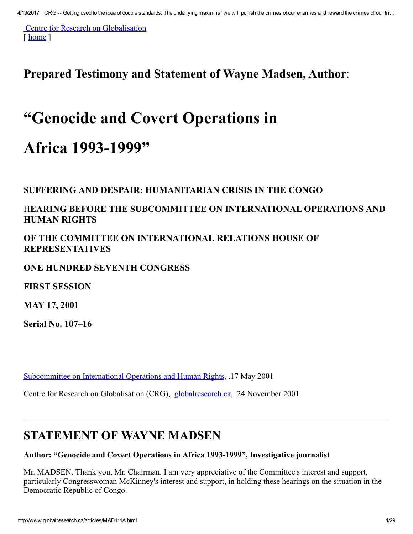Centre for Research on [Globalisation](http://www.globalresearch.ca/) [ [home](http://www.globalresearch.ca/) ]

Prepared Testimony and Statement of Wayne Madsen, Author:

# "Genocide and Covert Operations in

# Africa 1993-1999"

SUFFERING AND DESPAIR: HUMANITARIAN CRISIS IN THE CONGO

#### HEARING BEFORE THE SUBCOMMITTEE ON INTERNATIONAL OPERATIONS AND HUMAN RIGHTS

OF THE COMMITTEE ON INTERNATIONAL RELATIONS HOUSE OF REPRESENTATIVES

#### ONE HUNDRED SEVENTH CONGRESS

FIRST SESSION

MAY 17, 2001

Serial No. 107–16

[Subcommittee](http://www.house.gov/international_relations/iohr107.htm) on International Operations and Human Rights, .17 May 2001

Centre for Research on Globalisation (CRG), [globalresearch.ca](http://www.globalresearch.ca/), 24 November 2001

#### STATEMENT OF WAYNE MADSEN

#### Author: "Genocide and Covert Operations in Africa 1993-1999", Investigative journalist

Mr. MADSEN. Thank you, Mr. Chairman. I am very appreciative of the Committee's interest and support, particularly Congresswoman McKinney's interest and support, in holding these hearings on the situation in the Democratic Republic of Congo.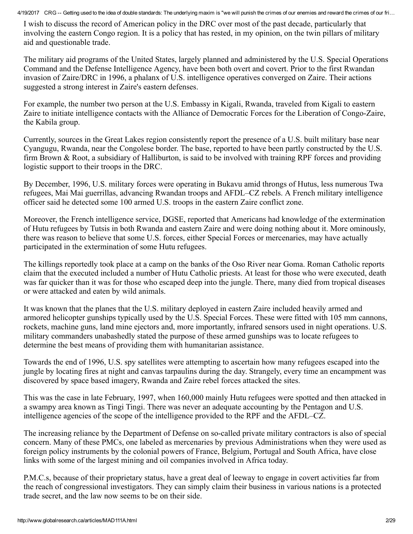I wish to discuss the record of American policy in the DRC over most of the past decade, particularly that involving the eastern Congo region. It is a policy that has rested, in my opinion, on the twin pillars of military aid and questionable trade.

The military aid programs of the United States, largely planned and administered by the U.S. Special Operations Command and the Defense Intelligence Agency, have been both overt and covert. Prior to the first Rwandan invasion of Zaire/DRC in 1996, a phalanx of U.S. intelligence operatives converged on Zaire. Their actions suggested a strong interest in Zaire's eastern defenses.

For example, the number two person at the U.S. Embassy in Kigali, Rwanda, traveled from Kigali to eastern Zaire to initiate intelligence contacts with the Alliance of Democratic Forces for the Liberation of Congo-Zaire, the Kabila group.

Currently, sources in the Great Lakes region consistently report the presence of a U.S. built military base near Cyangugu, Rwanda, near the Congolese border. The base, reported to have been partly constructed by the U.S. firm Brown & Root, a subsidiary of Halliburton, is said to be involved with training RPF forces and providing logistic support to their troops in the DRC.

By December, 1996, U.S. military forces were operating in Bukavu amid throngs of Hutus, less numerous Twa refugees, Mai Mai guerrillas, advancing Rwandan troops and AFDL–CZ rebels. A French military intelligence officer said he detected some 100 armed U.S. troops in the eastern Zaire conflict zone.

Moreover, the French intelligence service, DGSE, reported that Americans had knowledge of the extermination of Hutu refugees by Tutsis in both Rwanda and eastern Zaire and were doing nothing about it. More ominously, there was reason to believe that some U.S. forces, either Special Forces or mercenaries, may have actually participated in the extermination of some Hutu refugees.

The killings reportedly took place at a camp on the banks of the Oso River near Goma. Roman Catholic reports claim that the executed included a number of Hutu Catholic priests. At least for those who were executed, death was far quicker than it was for those who escaped deep into the jungle. There, many died from tropical diseases or were attacked and eaten by wild animals.

It was known that the planes that the U.S. military deployed in eastern Zaire included heavily armed and armored helicopter gunships typically used by the U.S. Special Forces. These were fitted with 105 mm cannons, rockets, machine guns, land mine ejectors and, more importantly, infrared sensors used in night operations. U.S. military commanders unabashedly stated the purpose of these armed gunships was to locate refugees to determine the best means of providing them with humanitarian assistance.

Towards the end of 1996, U.S. spy satellites were attempting to ascertain how many refugees escaped into the jungle by locating fires at night and canvas tarpaulins during the day. Strangely, every time an encampment was discovered by space based imagery, Rwanda and Zaire rebel forces attacked the sites.

This was the case in late February, 1997, when 160,000 mainly Hutu refugees were spotted and then attacked in a swampy area known as Tingi Tingi. There was never an adequate accounting by the Pentagon and U.S. intelligence agencies of the scope of the intelligence provided to the RPF and the AFDL–CZ.

The increasing reliance by the Department of Defense on so-called private military contractors is also of special concern. Many of these PMCs, one labeled as mercenaries by previous Administrations when they were used as foreign policy instruments by the colonial powers of France, Belgium, Portugal and South Africa, have close links with some of the largest mining and oil companies involved in Africa today.

P.M.C.s, because of their proprietary status, have a great deal of leeway to engage in covert activities far from the reach of congressional investigators. They can simply claim their business in various nations is a protected trade secret, and the law now seems to be on their side.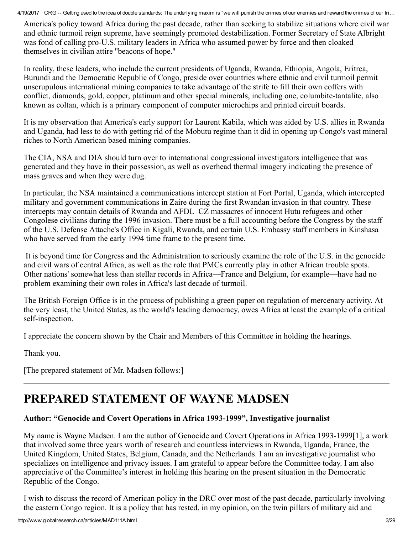America's policy toward Africa during the past decade, rather than seeking to stabilize situations where civil war and ethnic turmoil reign supreme, have seemingly promoted destabilization. Former Secretary of State Albright was fond of calling pro-U.S. military leaders in Africa who assumed power by force and then cloaked themselves in civilian attire ''beacons of hope.''

In reality, these leaders, who include the current presidents of Uganda, Rwanda, Ethiopia, Angola, Eritrea, Burundi and the Democratic Republic of Congo, preside over countries where ethnic and civil turmoil permit unscrupulous international mining companies to take advantage of the strife to fill their own coffers with conflict, diamonds, gold, copper, platinum and other special minerals, including one, columbite-tantalite, also known as coltan, which is a primary component of computer microchips and printed circuit boards.

It is my observation that America's early support for Laurent Kabila, which was aided by U.S. allies in Rwanda and Uganda, had less to do with getting rid of the Mobutu regime than it did in opening up Congo's vast mineral riches to North American based mining companies.

The CIA, NSA and DIA should turn over to international congressional investigators intelligence that was generated and they have in their possession, as well as overhead thermal imagery indicating the presence of mass graves and when they were dug.

In particular, the NSA maintained a communications intercept station at Fort Portal, Uganda, which intercepted military and government communications in Zaire during the first Rwandan invasion in that country. These intercepts may contain details of Rwanda and AFDL–CZ massacres of innocent Hutu refugees and other Congolese civilians during the 1996 invasion. There must be a full accounting before the Congress by the staff of the U.S. Defense Attache's Office in Kigali, Rwanda, and certain U.S. Embassy staff members in Kinshasa who have served from the early 1994 time frame to the present time.

It is beyond time for Congress and the Administration to seriously examine the role of the U.S. in the genocide and civil wars of central Africa, as well as the role that PMCs currently play in other African trouble spots. Other nations' somewhat less than stellar records in Africa—France and Belgium, for example—have had no problem examining their own roles in Africa's last decade of turmoil.

The British Foreign Office is in the process of publishing a green paper on regulation of mercenary activity. At the very least, the United States, as the world's leading democracy, owes Africa at least the example of a critical self-inspection.

I appreciate the concern shown by the Chair and Members of this Committee in holding the hearings.

Thank you.

[The prepared statement of Mr. Madsen follows:]

### PREPARED STATEMENT OF WAYNE MADSEN

#### Author: "Genocide and Covert Operations in Africa 1993-1999", Investigative journalist

My name is Wayne Madsen. I am the author of Genocide and Covert Operations in Africa 1993-1999[1], a work that involved some three years worth of research and countless interviews in Rwanda, Uganda, France, the United Kingdom, United States, Belgium, Canada, and the Netherlands. I am an investigative journalist who specializes on intelligence and privacy issues. I am grateful to appear before the Committee today. I am also appreciative of the Committee's interest in holding this hearing on the present situation in the Democratic Republic of the Congo.

I wish to discuss the record of American policy in the DRC over most of the past decade, particularly involving the eastern Congo region. It is a policy that has rested, in my opinion, on the twin pillars of military aid and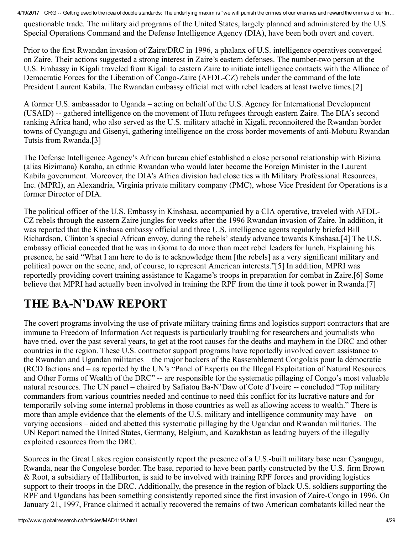questionable trade. The military aid programs of the United States, largely planned and administered by the U.S. Special Operations Command and the Defense Intelligence Agency (DIA), have been both overt and covert.

Prior to the first Rwandan invasion of Zaire/DRC in 1996, a phalanx of U.S. intelligence operatives converged on Zaire. Their actions suggested a strong interest in Zaire's eastern defenses. The number-two person at the U.S. Embassy in Kigali traveled from Kigali to eastern Zaire to initiate intelligence contacts with the Alliance of Democratic Forces for the Liberation of Congo-Zaire (AFDL-CZ) rebels under the command of the late President Laurent Kabila. The Rwandan embassy official met with rebel leaders at least twelve times.[2]

A former U.S. ambassador to Uganda – acting on behalf of the U.S. Agency for International Development (USAID) -- gathered intelligence on the movement of Hutu refugees through eastern Zaire. The DIA's second ranking Africa hand, who also served as the U.S. military attaché in Kigali, reconnoitered the Rwandan border towns of Cyangugu and Gisenyi, gathering intelligence on the cross border movements of anti-Mobutu Rwandan Tutsis from Rwanda.[3]

The Defense Intelligence Agency's African bureau chief established a close personal relationship with Bizima (alias Bizimana) Karaha, an ethnic Rwandan who would later become the Foreign Minister in the Laurent Kabila government. Moreover, the DIA's Africa division had close ties with Military Professional Resources, Inc. (MPRI), an Alexandria, Virginia private military company (PMC), whose Vice President for Operations is a former Director of DIA.

The political officer of the U.S. Embassy in Kinshasa, accompanied by a CIA operative, traveled with AFDL-CZ rebels through the eastern Zaire jungles for weeks after the 1996 Rwandan invasion of Zaire. In addition, it was reported that the Kinshasa embassy official and three U.S. intelligence agents regularly briefed Bill Richardson, Clinton's special African envoy, during the rebels' steady advance towards Kinshasa.[4] The U.S. embassy official conceded that he was in Goma to do more than meet rebel leaders for lunch. Explaining his presence, he said "What I am here to do is to acknowledge them [the rebels] as a very significant military and political power on the scene, and, of course, to represent American interests."[5] In addition, MPRI was reportedly providing covert training assistance to Kagame's troops in preparation for combat in Zaire.[6] Some believe that MPRI had actually been involved in training the RPF from the time it took power in Rwanda.[7]

## THE BA-N'DAW REPORT

The covert programs involving the use of private military training firms and logistics support contractors that are immune to Freedom of Information Act requests is particularly troubling for researchers and journalists who have tried, over the past several years, to get at the root causes for the deaths and mayhem in the DRC and other countries in the region. These U.S. contractor support programs have reportedly involved covert assistance to the Rwandan and Ugandan militaries – the major backers of the Rassemblement Congolais pour la démocratie (RCD factions and – as reported by the UN's "Panel of Experts on the Illegal Exploitation of Natural Resources and Other Forms of Wealth of the DRC" -- are responsible for the systematic pillaging of Congo's most valuable natural resources. The UN panel – chaired by Safiatou Ba-N'Daw of Cote d'Ivoire -- concluded "Top military commanders from various countries needed and continue to need this conflict for its lucrative nature and for temporarily solving some internal problems in those countries as well as allowing access to wealth." There is more than ample evidence that the elements of the U.S. military and intelligence community may have – on varying occasions – aided and abetted this systematic pillaging by the Ugandan and Rwandan militaries. The UN Report named the United States, Germany, Belgium, and Kazakhstan as leading buyers of the illegally exploited resources from the DRC.

Sources in the Great Lakes region consistently report the presence of a U.S.-built military base near Cyangugu, Rwanda, near the Congolese border. The base, reported to have been partly constructed by the U.S. firm Brown & Root, a subsidiary of Halliburton, is said to be involved with training RPF forces and providing logistics support to their troops in the DRC. Additionally, the presence in the region of black U.S. soldiers supporting the RPF and Ugandans has been something consistently reported since the first invasion of Zaire-Congo in 1996. On January 21, 1997, France claimed it actually recovered the remains of two American combatants killed near the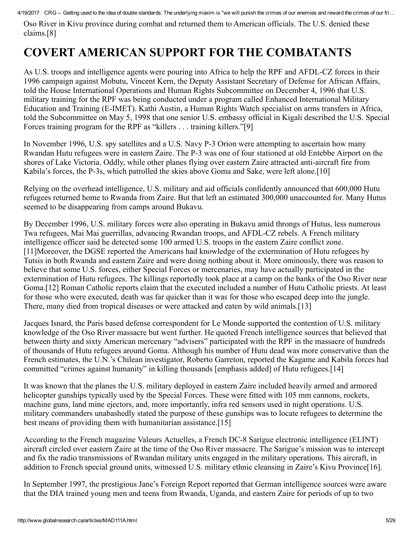Oso River in Kivu province during combat and returned them to American officials. The U.S. denied these claims.[8]

## COVERT AMERICAN SUPPORT FOR THE COMBATANTS

As U.S. troops and intelligence agents were pouring into Africa to help the RPF and AFDL-CZ forces in their 1996 campaign against Mobutu, Vincent Kern, the Deputy Assistant Secretary of Defense for African Affairs, told the House International Operations and Human Rights Subcommittee on December 4, 1996 that U.S. military training for the RPF was being conducted under a program called Enhanced International Military Education and Training (E-IMET). Kathi Austin, a Human Rights Watch specialist on arms transfers in Africa, told the Subcommittee on May 5, 1998 that one senior U.S. embassy official in Kigali described the U.S. Special Forces training program for the RPF as "killers . . . training killers."[9]

In November 1996, U.S. spy satellites and a U.S. Navy P-3 Orion were attempting to ascertain how many Rwandan Hutu refugees were in eastern Zaire. The P-3 was one of four stationed at old Entebbe Airport on the shores of Lake Victoria. Oddly, while other planes flying over eastern Zaire attracted anti-aircraft fire from Kabila's forces, the P-3s, which patrolled the skies above Goma and Sake, were left alone.[10]

Relying on the overhead intelligence, U.S. military and aid officials confidently announced that 600,000 Hutu refugees returned home to Rwanda from Zaire. But that left an estimated 300,000 unaccounted for. Many Hutus seemed to be disappearing from camps around Bukavu.

By December 1996, U.S. military forces were also operating in Bukavu amid throngs of Hutus, less numerous Twa refugees, Mai Mai guerrillas, advancing Rwandan troops, and AFDL-CZ rebels. A French military intelligence officer said he detected some 100 armed U.S. troops in the eastern Zaire conflict zone. [11]Moreover, the DGSE reported the Americans had knowledge of the extermination of Hutu refugees by Tutsis in both Rwanda and eastern Zaire and were doing nothing about it. More ominously, there was reason to believe that some U.S. forces, either Special Forces or mercenaries, may have actually participated in the extermination of Hutu refugees. The killings reportedly took place at a camp on the banks of the Oso River near Goma.[12] Roman Catholic reports claim that the executed included a number of Hutu Catholic priests. At least for those who were executed, death was far quicker than it was for those who escaped deep into the jungle. There, many died from tropical diseases or were attacked and eaten by wild animals.[13]

Jacques Isnard, the Paris based defense correspondent for Le Monde supported the contention of U.S. military knowledge of the Oso River massacre but went further. He quoted French intelligence sources that believed that between thirty and sixty American mercenary "advisers" participated with the RPF in the massacre of hundreds of thousands of Hutu refugees around Goma. Although his number of Hutu dead was more conservative than the French estimates, the U.N.'s Chilean investigator, Roberto Garreton, reported the Kagame and Kabila forces had committed "crimes against humanity" in killing thousands [emphasis added] of Hutu refugees.[14]

It was known that the planes the U.S. military deployed in eastern Zaire included heavily armed and armored helicopter gunships typically used by the Special Forces. These were fitted with 105 mm cannons, rockets, machine guns, land mine ejectors, and, more importantly, infra red sensors used in night operations. U.S. military commanders unabashedly stated the purpose of these gunships was to locate refugees to determine the best means of providing them with humanitarian assistance.<sup>[15]</sup>

According to the French magazine Valeurs Actuelles, a French DC-8 Sarigue electronic intelligence (ELINT) aircraft circled over eastern Zaire at the time of the Oso River massacre. The Sarigue's mission was to intercept and fix the radio transmissions of Rwandan military units engaged in the military operations. This aircraft, in addition to French special ground units, witnessed U.S. military ethnic cleansing in Zaire's Kivu Province[16].

In September 1997, the prestigious Jane's Foreign Report reported that German intelligence sources were aware that the DIA trained young men and teens from Rwanda, Uganda, and eastern Zaire for periods of up to two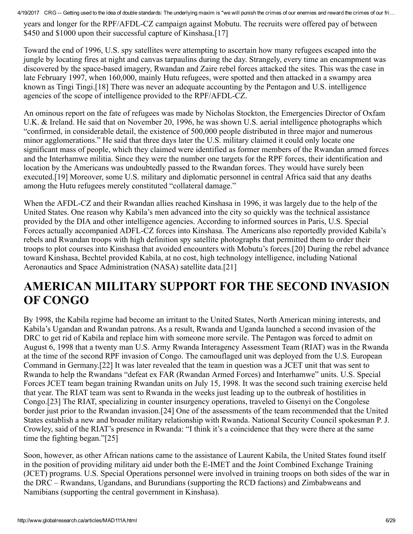years and longer for the RPF/AFDL-CZ campaign against Mobutu. The recruits were offered pay of between \$450 and \$1000 upon their successful capture of Kinshasa.[17]

Toward the end of 1996, U.S. spy satellites were attempting to ascertain how many refugees escaped into the jungle by locating fires at night and canvas tarpaulins during the day. Strangely, every time an encampment was discovered by the spacebased imagery, Rwandan and Zaire rebel forces attacked the sites. This was the case in late February 1997, when 160,000, mainly Hutu refugees, were spotted and then attacked in a swampy area known as Tingi Tingi.[18] There was never an adequate accounting by the Pentagon and U.S. intelligence agencies of the scope of intelligence provided to the RPF/AFDL-CZ.

An ominous report on the fate of refugees was made by Nicholas Stockton, the Emergencies Director of Oxfam U.K. & Ireland. He said that on November 20, 1996, he was shown U.S. aerial intelligence photographs which "confirmed, in considerable detail, the existence of 500,000 people distributed in three major and numerous minor agglomerations." He said that three days later the U.S. military claimed it could only locate one significant mass of people, which they claimed were identified as former members of the Rwandan armed forces and the Interhamwe militia. Since they were the number one targets for the RPF forces, their identification and location by the Americans was undoubtedly passed to the Rwandan forces. They would have surely been executed.[19] Moreover, some U.S. military and diplomatic personnel in central Africa said that any deaths among the Hutu refugees merely constituted "collateral damage."

When the AFDL-CZ and their Rwandan allies reached Kinshasa in 1996, it was largely due to the help of the United States. One reason why Kabila's men advanced into the city so quickly was the technical assistance provided by the DIA and other intelligence agencies. According to informed sources in Paris, U.S. Special Forces actually accompanied ADFL-CZ forces into Kinshasa. The Americans also reportedly provided Kabila's rebels and Rwandan troops with high definition spy satellite photographs that permitted them to order their troops to plot courses into Kinshasa that avoided encounters with Mobutu's forces.[20] During the rebel advance toward Kinshasa, Bechtel provided Kabila, at no cost, high technology intelligence, including National Aeronautics and Space Administration (NASA) satellite data.[21]

## AMERICAN MILITARY SUPPORT FOR THE SECOND INVASION OF CONGO

By 1998, the Kabila regime had become an irritant to the United States, North American mining interests, and Kabila's Ugandan and Rwandan patrons. As a result, Rwanda and Uganda launched a second invasion of the DRC to get rid of Kabila and replace him with someone more servile. The Pentagon was forced to admit on August 6, 1998 that a twenty man U.S. Army Rwanda Interagency Assessment Team (RIAT) was in the Rwanda at the time of the second RPF invasion of Congo. The camouflaged unit was deployed from the U.S. European Command in Germany.[22] It was later revealed that the team in question was a JCET unit that was sent to Rwanda to help the Rwandans "defeat ex FAR (Rwandan Armed Forces) and Interhamwe" units. U.S. Special Forces JCET team began training Rwandan units on July 15, 1998. It was the second such training exercise held that year. The RIAT team was sent to Rwanda in the weeks just leading up to the outbreak of hostilities in Congo.[23] The RIAT, specializing in counter insurgency operations, traveled to Gisenyi on the Congolese border just prior to the Rwandan invasion.[24] One of the assessments of the team recommended that the United States establish a new and broader military relationship with Rwanda. National Security Council spokesman P. J. Crowley, said of the RIAT's presence in Rwanda: "I think it's a coincidence that they were there at the same time the fighting began."[25]

Soon, however, as other African nations came to the assistance of Laurent Kabila, the United States found itself in the position of providing military aid under both the E-IMET and the Joint Combined Exchange Training (JCET) programs. U.S. Special Operations personnel were involved in training troops on both sides of the war in the DRC – Rwandans, Ugandans, and Burundians (supporting the RCD factions) and Zimbabweans and Namibians (supporting the central government in Kinshasa).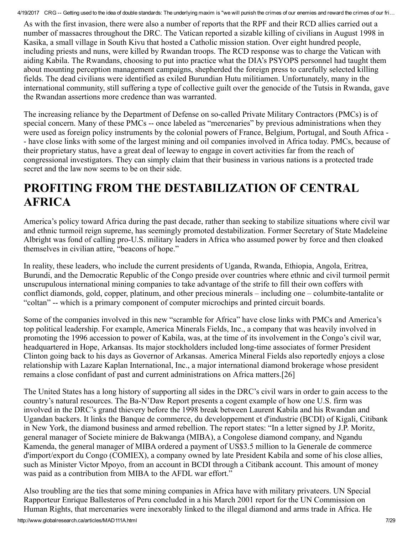As with the first invasion, there were also a number of reports that the RPF and their RCD allies carried out a number of massacres throughout the DRC. The Vatican reported a sizable killing of civilians in August 1998 in Kasika, a small village in South Kivu that hosted a Catholic mission station. Over eight hundred people, including priests and nuns, were killed by Rwandan troops. The RCD response was to charge the Vatican with aiding Kabila. The Rwandans, choosing to put into practice what the DIA's PSYOPS personnel had taught them about mounting perception management campaigns, shepherded the foreign press to carefully selected killing fields. The dead civilians were identified as exiled Burundian Hutu militiamen. Unfortunately, many in the international community, still suffering a type of collective guilt over the genocide of the Tutsis in Rwanda, gave the Rwandan assertions more credence than was warranted.

The increasing reliance by the Department of Defense on so-called Private Military Contractors (PMCs) is of special concern. Many of these PMCs -- once labeled as "mercenaries" by previous administrations when they were used as foreign policy instruments by the colonial powers of France, Belgium, Portugal, and South Africa have close links with some of the largest mining and oil companies involved in Africa today. PMCs, because of their proprietary status, have a great deal of leeway to engage in covert activities far from the reach of congressional investigators. They can simply claim that their business in various nations is a protected trade secret and the law now seems to be on their side.

## PROFITING FROM THE DESTABILIZATION OF CENTRAL AFRICA

America's policy toward Africa during the past decade, rather than seeking to stabilize situations where civil war and ethnic turmoil reign supreme, has seemingly promoted destabilization. Former Secretary of State Madeleine Albright was fond of calling pro-U.S. military leaders in Africa who assumed power by force and then cloaked themselves in civilian attire, "beacons of hope."

In reality, these leaders, who include the current presidents of Uganda, Rwanda, Ethiopia, Angola, Eritrea, Burundi, and the Democratic Republic of the Congo preside over countries where ethnic and civil turmoil permit unscrupulous international mining companies to take advantage of the strife to fill their own coffers with conflict diamonds, gold, copper, platinum, and other precious minerals – including one – columbite-tantalite or "coltan" -- which is a primary component of computer microchips and printed circuit boards.

Some of the companies involved in this new "scramble for Africa" have close links with PMCs and America's top political leadership. For example, America Minerals Fields, Inc., a company that was heavily involved in promoting the 1996 accession to power of Kabila, was, at the time of its involvement in the Congo's civil war, headquartered in Hope, Arkansas. Its major stockholders included long-time associates of former President Clinton going back to his days as Governor of Arkansas. America Mineral Fields also reportedly enjoys a close relationship with Lazare Kaplan International, Inc., a major international diamond brokerage whose president remains a close confidant of past and current administrations on Africa matters.[26]

The United States has a long history of supporting all sides in the DRC's civil wars in order to gain access to the country's natural resources. The Ba-N'Daw Report presents a cogent example of how one U.S. firm was involved in the DRC's grand thievery before the 1998 break between Laurent Kabila and his Rwandan and Ugandan backers. It links the Banque de commerce, du developpement et d'industrie (BCDI) of Kigali, Citibank in New York, the diamond business and armed rebellion. The report states: "In a letter signed by J.P. Moritz, general manager of Societe miniere de Bakwanga (MIBA), a Congolese diamond company, and Ngandu Kamenda, the general manager of MIBA ordered a payment of US\$3.5 million to la Generale de commerce d'import/export du Congo (COMIEX), a company owned by late President Kabila and some of his close allies, such as Minister Victor Mpoyo, from an account in BCDI through a Citibank account. This amount of money was paid as a contribution from MIBA to the AFDL war effort."

Also troubling are the ties that some mining companies in Africa have with military privateers. UN Special Rapporteur Enrique Ballesteros of Peru concluded in a his March 2001 report for the UN Commission on Human Rights, that mercenaries were inexorably linked to the illegal diamond and arms trade in Africa. He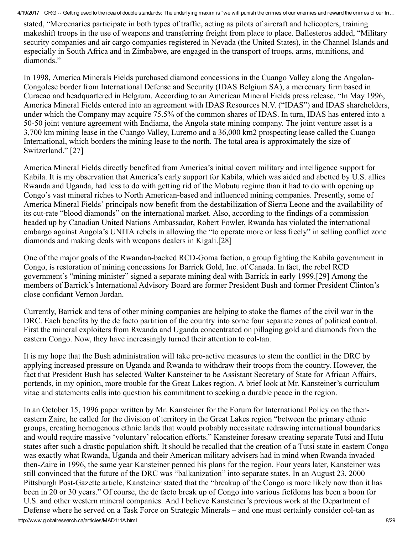stated, "Mercenaries participate in both types of traffic, acting as pilots of aircraft and helicopters, training makeshift troops in the use of weapons and transferring freight from place to place. Ballesteros added, "Military security companies and air cargo companies registered in Nevada (the United States), in the Channel Islands and especially in South Africa and in Zimbabwe, are engaged in the transport of troops, arms, munitions, and diamonds."

In 1998, America Minerals Fields purchased diamond concessions in the Cuango Valley along the Angolan-Congolese border from International Defense and Security (IDAS Belgium SA), a mercenary firm based in Curacao and headquartered in Belgium. According to an American Mineral Fields press release, "In May 1996, America Mineral Fields entered into an agreement with IDAS Resources N.V. ("IDAS") and IDAS shareholders, under which the Company may acquire 75.5% of the common shares of IDAS. In turn, IDAS has entered into a 5050 joint venture agreement with Endiama, the Angola state mining company. The joint venture asset is a 3,700 km mining lease in the Cuango Valley, Luremo and a 36,000 km2 prospecting lease called the Cuango International, which borders the mining lease to the north. The total area is approximately the size of Switzerland." [27]

America Mineral Fields directly benefited from America's initial covert military and intelligence support for Kabila. It is my observation that America's early support for Kabila, which was aided and abetted by U.S. allies Rwanda and Uganda, had less to do with getting rid of the Mobutu regime than it had to do with opening up Congo's vast mineral riches to North American-based and influenced mining companies. Presently, some of America Mineral Fields' principals now benefit from the destabilization of Sierra Leone and the availability of its cut-rate "blood diamonds" on the international market. Also, according to the findings of a commission headed up by Canadian United Nations Ambassador, Robert Fowler, Rwanda has violated the international embargo against Angola's UNITA rebels in allowing the "to operate more or less freely" in selling conflict zone diamonds and making deals with weapons dealers in Kigali.[28]

One of the major goals of the Rwandan-backed RCD-Goma faction, a group fighting the Kabila government in Congo, is restoration of mining concessions for Barrick Gold, Inc. of Canada. In fact, the rebel RCD government's "mining minister" signed a separate mining deal with Barrick in early 1999.[29] Among the members of Barrick's International Advisory Board are former President Bush and former President Clinton's close confidant Vernon Jordan.

Currently, Barrick and tens of other mining companies are helping to stoke the flames of the civil war in the DRC. Each benefits by the de facto partition of the country into some four separate zones of political control. First the mineral exploiters from Rwanda and Uganda concentrated on pillaging gold and diamonds from the eastern Congo. Now, they have increasingly turned their attention to col-tan.

It is my hope that the Bush administration will take pro-active measures to stem the conflict in the DRC by applying increased pressure on Uganda and Rwanda to withdraw their troops from the country. However, the fact that President Bush has selected Walter Kansteiner to be Assistant Secretary of State for African Affairs, portends, in my opinion, more trouble for the Great Lakes region. A brief look at Mr. Kansteiner's curriculum vitae and statements calls into question his commitment to seeking a durable peace in the region.

http://www.globalresearch.ca/articles/MAD111A.html 8/29 In an October 15, 1996 paper written by Mr. Kansteiner for the Forum for International Policy on the theneastern Zaire, he called for the division of territory in the Great Lakes region "between the primary ethnic groups, creating homogenous ethnic lands that would probably necessitate redrawing international boundaries and would require massive 'voluntary' relocation efforts." Kansteiner foresaw creating separate Tutsi and Hutu states after such a drastic population shift. It should be recalled that the creation of a Tutsi state in eastern Congo was exactly what Rwanda, Uganda and their American military advisers had in mind when Rwanda invaded then-Zaire in 1996, the same year Kansteiner penned his plans for the region. Four years later, Kansteiner was still convinced that the future of the DRC was "balkanization" into separate states. In an August 23, 2000 Pittsburgh Post-Gazette article, Kansteiner stated that the "breakup of the Congo is more likely now than it has been in 20 or 30 years." Of course, the de facto break up of Congo into various fiefdoms has been a boon for U.S. and other western mineral companies. And I believe Kansteiner's previous work at the Department of Defense where he served on a Task Force on Strategic Minerals – and one must certainly consider col-tan as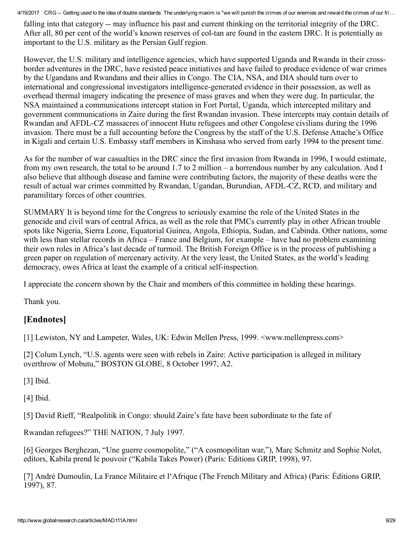falling into that category -- may influence his past and current thinking on the territorial integrity of the DRC. After all, 80 per cent of the world's known reserves of col-tan are found in the eastern DRC. It is potentially as important to the U.S. military as the Persian Gulf region.

However, the U.S. military and intelligence agencies, which have supported Uganda and Rwanda in their crossborder adventures in the DRC, have resisted peace initiatives and have failed to produce evidence of war crimes by the Ugandans and Rwandans and their allies in Congo. The CIA, NSA, and DIA should turn over to international and congressional investigators intelligence-generated evidence in their possession, as well as overhead thermal imagery indicating the presence of mass graves and when they were dug. In particular, the NSA maintained a communications intercept station in Fort Portal, Uganda, which intercepted military and government communications in Zaire during the first Rwandan invasion. These intercepts may contain details of Rwandan and AFDL-CZ massacres of innocent Hutu refugees and other Congolese civilians during the 1996 invasion. There must be a full accounting before the Congress by the staff of the U.S. Defense Attache's Office in Kigali and certain U.S. Embassy staff members in Kinshasa who served from early 1994 to the present time.

As for the number of war casualties in the DRC since the first invasion from Rwanda in 1996, I would estimate, from my own research, the total to be around 1.7 to 2 million – a horrendous number by any calculation. And I also believe that although disease and famine were contributing factors, the majority of these deaths were the result of actual war crimes committed by Rwandan, Ugandan, Burundian, AFDL-CZ, RCD, and military and paramilitary forces of other countries.

SUMMARY It is beyond time for the Congress to seriously examine the role of the United States in the genocide and civil wars of central Africa, as well as the role that PMCs currently play in other African trouble spots like Nigeria, Sierra Leone, Equatorial Guinea, Angola, Ethiopia, Sudan, and Cabinda. Other nations, some with less than stellar records in Africa – France and Belgium, for example – have had no problem examining their own roles in Africa's last decade of turmoil. The British Foreign Office is in the process of publishing a green paper on regulation of mercenary activity. At the very least, the United States, as the world's leading democracy, owes Africa at least the example of a critical self-inspection.

I appreciate the concern shown by the Chair and members of this committee in holding these hearings.

Thank you.

#### [Endnotes]

[1] Lewiston, NY and Lampeter, Wales, UK: Edwin Mellen Press, 1999. <www.mellenpress.com>

[2] Colum Lynch, "U.S. agents were seen with rebels in Zaire: Active participation is alleged in military overthrow of Mobutu," BOSTON GLOBE, 8 October 1997, A2.

[3] Ibid.

[4] Ibid.

[5] David Rieff, "Realpolitik in Congo: should Zaire's fate have been subordinate to the fate of

Rwandan refugees?" THE NATION, 7 July 1997.

[6] Georges Berghezan, "Une guerre cosmopolite," ("A cosmopolitan war,"), Marc Schmitz and Sophie Nolet, editors, Kabila prend le pouvoir ("Kabila Takes Power) (Paris: Editions GRIP, 1998), 97.

[7] André Dumoulin, La France Militaire et l'Afrique (The French Military and Africa) (Paris: Éditions GRIP, 1997), 87.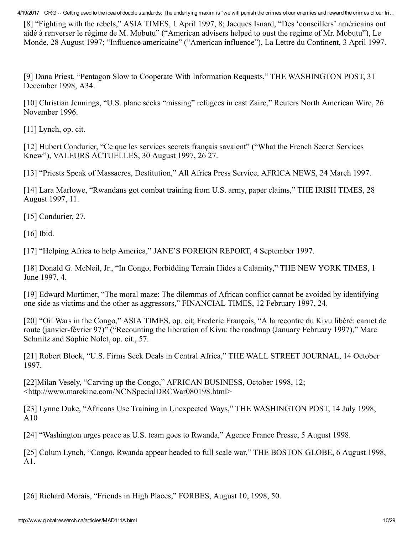[8] "Fighting with the rebels," ASIA TIMES, 1 April 1997, 8; Jacques Isnard, "Des 'conseillers' américains ont aidé à renverser le régime de M. Mobutu" ("American advisers helped to oust the regime of Mr. Mobutu"), Le Monde, 28 August 1997; "Influence americaine" ("American influence"), La Lettre du Continent, 3 April 1997.

[9] Dana Priest, "Pentagon Slow to Cooperate With Information Requests," THE WASHINGTON POST, 31 December 1998, A34.

[10] Christian Jennings, "U.S. plane seeks "missing" refugees in east Zaire," Reuters North American Wire, 26 November 1996.

[11] Lynch, op. cit.

[12] Hubert Condurier, "Ce que les services secrets français savaient" ("What the French Secret Services Knew"), VALEURS ACTUELLES, 30 August 1997, 26 27.

[13] "Priests Speak of Massacres, Destitution," All Africa Press Service, AFRICA NEWS, 24 March 1997.

[14] Lara Marlowe, "Rwandans got combat training from U.S. army, paper claims," THE IRISH TIMES, 28 August 1997, 11.

[15] Condurier, 27.

[16] Ibid.

[17] "Helping Africa to help America," JANE'S FOREIGN REPORT, 4 September 1997.

[18] Donald G. McNeil, Jr., "In Congo, Forbidding Terrain Hides a Calamity," THE NEW YORK TIMES, 1 June 1997, 4.

[19] Edward Mortimer, "The moral maze: The dilemmas of African conflict cannot be avoided by identifying one side as victims and the other as aggressors," FINANCIAL TIMES, 12 February 1997, 24.

[20] "Oil Wars in the Congo," ASIA TIMES, op. cit; Frederic François, "A la recontre du Kivu libéré: carnet de route (janvier-février 97)" ("Recounting the liberation of Kivu: the roadmap (January February 1997)," Marc Schmitz and Sophie Nolet, op. cit., 57.

[21] Robert Block, "U.S. Firms Seek Deals in Central Africa," THE WALL STREET JOURNAL, 14 October 1997.

[22]Milan Vesely, "Carving up the Congo," AFRICAN BUSINESS, October 1998, 12; <http://www.marekinc.com/NCNSpecialDRCWar080198.html>

[23] Lynne Duke, "Africans Use Training in Unexpected Ways," THE WASHINGTON POST, 14 July 1998, A10

[24] "Washington urges peace as U.S. team goes to Rwanda," Agence France Presse, 5 August 1998.

[25] Colum Lynch, "Congo, Rwanda appear headed to full scale war," THE BOSTON GLOBE, 6 August 1998, A1.

[26] Richard Morais, "Friends in High Places," FORBES, August 10, 1998, 50.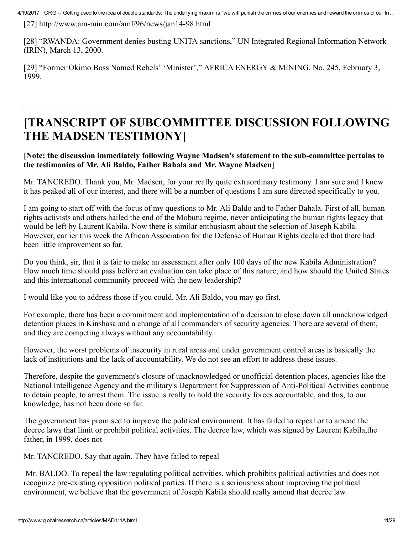$[27]$  http://www.am-min.com/amf/96/news/jan14-98.html

[28] "RWANDA: Government denies busting UNITA sanctions," UN Integrated Regional Information Network (IRIN), March 13, 2000.

[29] "Former Okimo Boss Named Rebels' 'Minister'," AFRICA ENERGY & MINING, No. 245, February 3, 1999.

### [TRANSCRIPT OF SUBCOMMITTEE DISCUSSION FOLLOWING THE MADSEN TESTIMONY]

#### [Note: the discussion immediately following Wayne Madsen's statement to the sub-committee pertains to the testimonies of Mr. Ali Baldo, Father Bahala and Mr. Wayne Madsen]

Mr. TANCREDO. Thank you, Mr. Madsen, for your really quite extraordinary testimony. I am sure and I know it has peaked all of our interest, and there will be a number of questions I am sure directed specifically to you.

I am going to start off with the focus of my questions to Mr. Ali Baldo and to Father Bahala. First of all, human rights activists and others hailed the end of the Mobutu regime, never anticipating the human rights legacy that would be left by Laurent Kabila. Now there is similar enthusiasm about the selection of Joseph Kabila. However, earlier this week the African Association for the Defense of Human Rights declared that there had been little improvement so far.

Do you think, sir, that it is fair to make an assessment after only 100 days of the new Kabila Administration? How much time should pass before an evaluation can take place of this nature, and how should the United States and this international community proceed with the new leadership?

I would like you to address those if you could. Mr. Ali Baldo, you may go first.

For example, there has been a commitment and implementation of a decision to close down all unacknowledged detention places in Kinshasa and a change of all commanders of security agencies. There are several of them, and they are competing always without any accountability.

However, the worst problems of insecurity in rural areas and under government control areas is basically the lack of institutions and the lack of accountability. We do not see an effort to address these issues.

Therefore, despite the government's closure of unacknowledged or unofficial detention places, agencies like the National Intelligence Agency and the military's Department for Suppression of Anti-Political Activities continue to detain people, to arrest them. The issue is really to hold the security forces accountable, and this, to our knowledge, has not been done so far.

The government has promised to improve the political environment. It has failed to repeal or to amend the decree laws that limit or prohibit political activities. The decree law, which was signed by Laurent Kabila,the father, in 1999, does not-

Mr. TANCREDO. Say that again. They have failed to repeal——

Mr. BALDO. To repeal the law regulating political activities, which prohibits political activities and does not recognize pre-existing opposition political parties. If there is a seriousness about improving the political environment, we believe that the government of Joseph Kabila should really amend that decree law.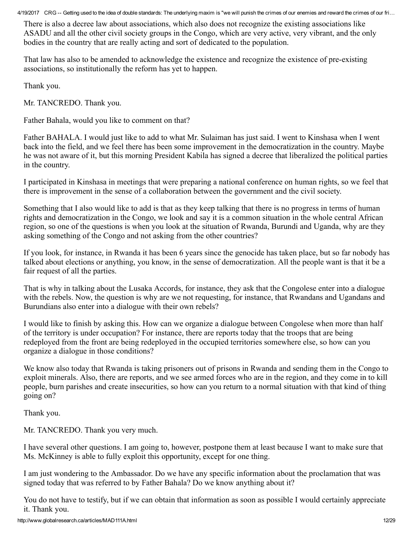There is also a decree law about associations, which also does not recognize the existing associations like ASADU and all the other civil society groups in the Congo, which are very active, very vibrant, and the only bodies in the country that are really acting and sort of dedicated to the population.

That law has also to be amended to acknowledge the existence and recognize the existence of pre-existing associations, so institutionally the reform has yet to happen.

Thank you.

Mr. TANCREDO. Thank you.

Father Bahala, would you like to comment on that?

Father BAHALA. I would just like to add to what Mr. Sulaiman has just said. I went to Kinshasa when I went back into the field, and we feel there has been some improvement in the democratization in the country. Maybe he was not aware of it, but this morning President Kabila has signed a decree that liberalized the political parties in the country.

I participated in Kinshasa in meetings that were preparing a national conference on human rights, so we feel that there is improvement in the sense of a collaboration between the government and the civil society.

Something that I also would like to add is that as they keep talking that there is no progress in terms of human rights and democratization in the Congo, we look and say it is a common situation in the whole central African region, so one of the questions is when you look at the situation of Rwanda, Burundi and Uganda, why are they asking something of the Congo and not asking from the other countries?

If you look, for instance, in Rwanda it has been 6 years since the genocide has taken place, but so far nobody has talked about elections or anything, you know, in the sense of democratization. All the people want is that it be a fair request of all the parties.

That is why in talking about the Lusaka Accords, for instance, they ask that the Congolese enter into a dialogue with the rebels. Now, the question is why are we not requesting, for instance, that Rwandans and Ugandans and Burundians also enter into a dialogue with their own rebels?

I would like to finish by asking this. How can we organize a dialogue between Congolese when more than half of the territory is under occupation? For instance, there are reports today that the troops that are being redeployed from the front are being redeployed in the occupied territories somewhere else, so how can you organize a dialogue in those conditions?

We know also today that Rwanda is taking prisoners out of prisons in Rwanda and sending them in the Congo to exploit minerals. Also, there are reports, and we see armed forces who are in the region, and they come in to kill people, burn parishes and create insecurities, so how can you return to a normal situation with that kind of thing going on?

Thank you.

Mr. TANCREDO. Thank you very much.

I have several other questions. I am going to, however, postpone them at least because I want to make sure that Ms. McKinney is able to fully exploit this opportunity, except for one thing.

I am just wondering to the Ambassador. Do we have any specific information about the proclamation that was signed today that was referred to by Father Bahala? Do we know anything about it?

You do not have to testify, but if we can obtain that information as soon as possible I would certainly appreciate it. Thank you.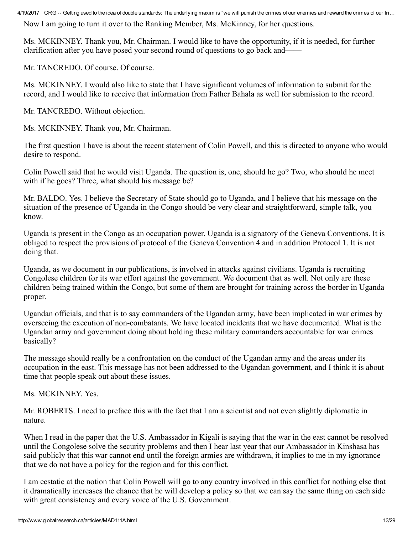Now I am going to turn it over to the Ranking Member, Ms. McKinney, for her questions.

Ms. MCKINNEY. Thank you, Mr. Chairman. I would like to have the opportunity, if it is needed, for further clarification after you have posed your second round of questions to go back and——

Mr. TANCREDO. Of course. Of course.

Ms. MCKINNEY. I would also like to state that I have significant volumes of information to submit for the record, and I would like to receive that information from Father Bahala as well for submission to the record.

Mr. TANCREDO. Without objection.

Ms. MCKINNEY. Thank you, Mr. Chairman.

The first question I have is about the recent statement of Colin Powell, and this is directed to anyone who would desire to respond.

Colin Powell said that he would visit Uganda. The question is, one, should he go? Two, who should he meet with if he goes? Three, what should his message be?

Mr. BALDO. Yes. I believe the Secretary of State should go to Uganda, and I believe that his message on the situation of the presence of Uganda in the Congo should be very clear and straightforward, simple talk, you know.

Uganda is present in the Congo as an occupation power. Uganda is a signatory of the Geneva Conventions. It is obliged to respect the provisions of protocol of the Geneva Convention 4 and in addition Protocol 1. It is not doing that.

Uganda, as we document in our publications, is involved in attacks against civilians. Uganda is recruiting Congolese children for its war effort against the government. We document that as well. Not only are these children being trained within the Congo, but some of them are brought for training across the border in Uganda proper.

Ugandan officials, and that is to say commanders of the Ugandan army, have been implicated in war crimes by overseeing the execution of non-combatants. We have located incidents that we have documented. What is the Ugandan army and government doing about holding these military commanders accountable for war crimes basically?

The message should really be a confrontation on the conduct of the Ugandan army and the areas under its occupation in the east. This message has not been addressed to the Ugandan government, and I think it is about time that people speak out about these issues.

Ms. MCKINNEY. Yes.

Mr. ROBERTS. I need to preface this with the fact that I am a scientist and not even slightly diplomatic in nature.

When I read in the paper that the U.S. Ambassador in Kigali is saying that the war in the east cannot be resolved until the Congolese solve the security problems and then I hear last year that our Ambassador in Kinshasa has said publicly that this war cannot end until the foreign armies are withdrawn, it implies to me in my ignorance that we do not have a policy for the region and for this conflict.

I am ecstatic at the notion that Colin Powell will go to any country involved in this conflict for nothing else that it dramatically increases the chance that he will develop a policy so that we can say the same thing on each side with great consistency and every voice of the U.S. Government.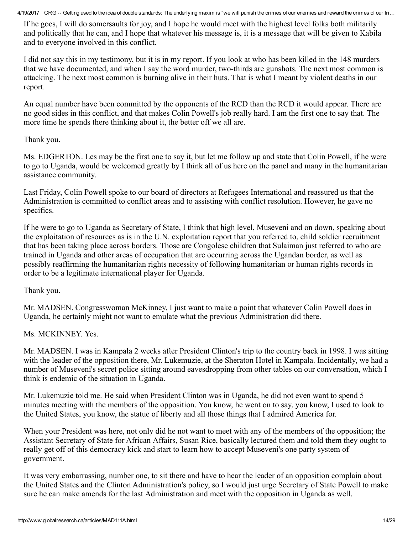If he goes, I will do somersaults for joy, and I hope he would meet with the highest level folks both militarily and politically that he can, and I hope that whatever his message is, it is a message that will be given to Kabila and to everyone involved in this conflict.

I did not say this in my testimony, but it is in my report. If you look at who has been killed in the 148 murders that we have documented, and when I say the word murder, two-thirds are gunshots. The next most common is attacking. The next most common is burning alive in their huts. That is what I meant by violent deaths in our report.

An equal number have been committed by the opponents of the RCD than the RCD it would appear. There are no good sides in this conflict, and that makes Colin Powell's job really hard. I am the first one to say that. The more time he spends there thinking about it, the better off we all are.

Thank you.

Ms. EDGERTON. Les may be the first one to say it, but let me follow up and state that Colin Powell, if he were to go to Uganda, would be welcomed greatly by I think all of us here on the panel and many in the humanitarian assistance community.

Last Friday, Colin Powell spoke to our board of directors at Refugees International and reassured us that the Administration is committed to conflict areas and to assisting with conflict resolution. However, he gave no specifics.

If he were to go to Uganda as Secretary of State, I think that high level, Museveni and on down, speaking about the exploitation of resources as is in the U.N. exploitation report that you referred to, child soldier recruitment that has been taking place across borders. Those are Congolese children that Sulaiman just referred to who are trained in Uganda and other areas of occupation that are occurring across the Ugandan border, as well as possibly reaffirming the humanitarian rights necessity of following humanitarian or human rights records in order to be a legitimate international player for Uganda.

Thank you.

Mr. MADSEN. Congresswoman McKinney, I just want to make a point that whatever Colin Powell does in Uganda, he certainly might not want to emulate what the previous Administration did there.

Ms. MCKINNEY. Yes.

Mr. MADSEN. I was in Kampala 2 weeks after President Clinton's trip to the country back in 1998. I was sitting with the leader of the opposition there, Mr. Lukemuzie, at the Sheraton Hotel in Kampala. Incidentally, we had a number of Museveni's secret police sitting around eavesdropping from other tables on our conversation, which I think is endemic of the situation in Uganda.

Mr. Lukemuzie told me. He said when President Clinton was in Uganda, he did not even want to spend 5 minutes meeting with the members of the opposition. You know, he went on to say, you know, I used to look to the United States, you know, the statue of liberty and all those things that I admired America for.

When your President was here, not only did he not want to meet with any of the members of the opposition; the Assistant Secretary of State for African Affairs, Susan Rice, basically lectured them and told them they ought to really get off of this democracy kick and start to learn how to accept Museveni's one party system of government.

It was very embarrassing, number one, to sit there and have to hear the leader of an opposition complain about the United States and the Clinton Administration's policy, so I would just urge Secretary of State Powell to make sure he can make amends for the last Administration and meet with the opposition in Uganda as well.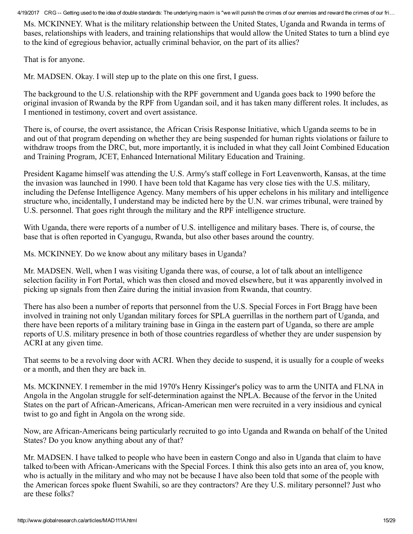Ms. MCKINNEY. What is the military relationship between the United States, Uganda and Rwanda in terms of bases, relationships with leaders, and training relationships that would allow the United States to turn a blind eye to the kind of egregious behavior, actually criminal behavior, on the part of its allies?

That is for anyone.

Mr. MADSEN. Okay. I will step up to the plate on this one first, I guess.

The background to the U.S. relationship with the RPF government and Uganda goes back to 1990 before the original invasion of Rwanda by the RPF from Ugandan soil, and it has taken many different roles. It includes, as I mentioned in testimony, covert and overt assistance.

There is, of course, the overt assistance, the African Crisis Response Initiative, which Uganda seems to be in and out of that program depending on whether they are being suspended for human rights violations or failure to withdraw troops from the DRC, but, more importantly, it is included in what they call Joint Combined Education and Training Program, JCET, Enhanced International Military Education and Training.

President Kagame himself was attending the U.S. Army's staff college in Fort Leavenworth, Kansas, at the time the invasion was launched in 1990. I have been told that Kagame has very close ties with the U.S. military, including the Defense Intelligence Agency. Many members of his upper echelons in his military and intelligence structure who, incidentally, I understand may be indicted here by the U.N. war crimes tribunal, were trained by U.S. personnel. That goes right through the military and the RPF intelligence structure.

With Uganda, there were reports of a number of U.S. intelligence and military bases. There is, of course, the base that is often reported in Cyangugu, Rwanda, but also other bases around the country.

Ms. MCKINNEY. Do we know about any military bases in Uganda?

Mr. MADSEN. Well, when I was visiting Uganda there was, of course, a lot of talk about an intelligence selection facility in Fort Portal, which was then closed and moved elsewhere, but it was apparently involved in picking up signals from then Zaire during the initial invasion from Rwanda, that country.

There has also been a number of reports that personnel from the U.S. Special Forces in Fort Bragg have been involved in training not only Ugandan military forces for SPLA guerrillas in the northern part of Uganda, and there have been reports of a military training base in Ginga in the eastern part of Uganda, so there are ample reports of U.S. military presence in both of those countries regardless of whether they are under suspension by ACRI at any given time.

That seems to be a revolving door with ACRI. When they decide to suspend, it is usually for a couple of weeks or a month, and then they are back in.

Ms. MCKINNEY. I remember in the mid 1970's Henry Kissinger's policy was to arm the UNITA and FLNA in Angola in the Angolan struggle for self-determination against the NPLA. Because of the fervor in the United States on the part of African-Americans, African-American men were recruited in a very insidious and cynical twist to go and fight in Angola on the wrong side.

Now, are African-Americans being particularly recruited to go into Uganda and Rwanda on behalf of the United States? Do you know anything about any of that?

Mr. MADSEN. I have talked to people who have been in eastern Congo and also in Uganda that claim to have talked to/been with African-Americans with the Special Forces. I think this also gets into an area of, you know, who is actually in the military and who may not be because I have also been told that some of the people with the American forces spoke fluent Swahili, so are they contractors? Are they U.S. military personnel? Just who are these folks?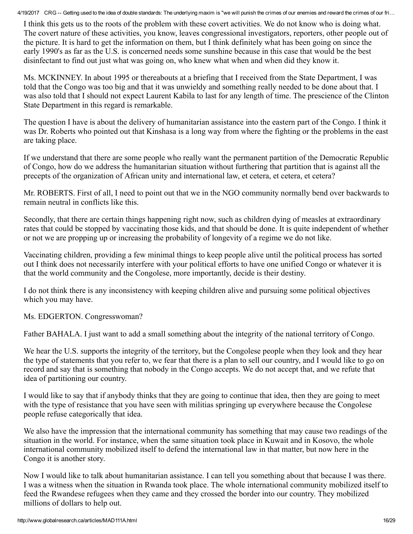I think this gets us to the roots of the problem with these covert activities. We do not know who is doing what. The covert nature of these activities, you know, leaves congressional investigators, reporters, other people out of the picture. It is hard to get the information on them, but I think definitely what has been going on since the early 1990's as far as the U.S. is concerned needs some sunshine because in this case that would be the best disinfectant to find out just what was going on, who knew what when and when did they know it.

Ms. MCKINNEY. In about 1995 or thereabouts at a briefing that I received from the State Department, I was told that the Congo was too big and that it was unwieldy and something really needed to be done about that. I was also told that I should not expect Laurent Kabila to last for any length of time. The prescience of the Clinton State Department in this regard is remarkable.

The question I have is about the delivery of humanitarian assistance into the eastern part of the Congo. I think it was Dr. Roberts who pointed out that Kinshasa is a long way from where the fighting or the problems in the east are taking place.

If we understand that there are some people who really want the permanent partition of the Democratic Republic of Congo, how do we address the humanitarian situation without furthering that partition that is against all the precepts of the organization of African unity and international law, et cetera, et cetera, et cetera?

Mr. ROBERTS. First of all, I need to point out that we in the NGO community normally bend over backwards to remain neutral in conflicts like this.

Secondly, that there are certain things happening right now, such as children dying of measles at extraordinary rates that could be stopped by vaccinating those kids, and that should be done. It is quite independent of whether or not we are propping up or increasing the probability of longevity of a regime we do not like.

Vaccinating children, providing a few minimal things to keep people alive until the political process has sorted out I think does not necessarily interfere with your political efforts to have one unified Congo or whatever it is that the world community and the Congolese, more importantly, decide is their destiny.

I do not think there is any inconsistency with keeping children alive and pursuing some political objectives which you may have.

Ms. EDGERTON. Congresswoman?

Father BAHALA. I just want to add a small something about the integrity of the national territory of Congo.

We hear the U.S. supports the integrity of the territory, but the Congolese people when they look and they hear the type of statements that you refer to, we fear that there is a plan to sell our country, and I would like to go on record and say that is something that nobody in the Congo accepts. We do not accept that, and we refute that idea of partitioning our country.

I would like to say that if anybody thinks that they are going to continue that idea, then they are going to meet with the type of resistance that you have seen with militias springing up everywhere because the Congolese people refuse categorically that idea.

We also have the impression that the international community has something that may cause two readings of the situation in the world. For instance, when the same situation took place in Kuwait and in Kosovo, the whole international community mobilized itself to defend the international law in that matter, but now here in the Congo it is another story.

Now I would like to talk about humanitarian assistance. I can tell you something about that because I was there. I was a witness when the situation in Rwanda took place. The whole international community mobilized itself to feed the Rwandese refugees when they came and they crossed the border into our country. They mobilized millions of dollars to help out.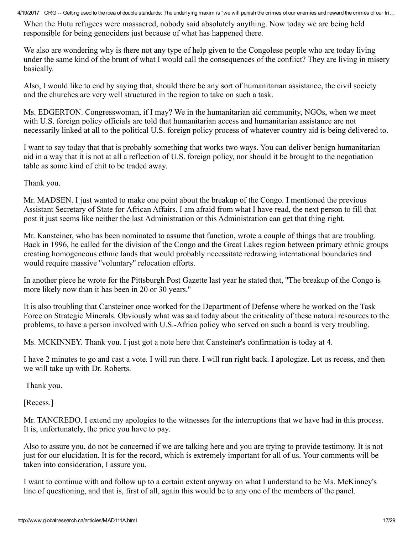When the Hutu refugees were massacred, nobody said absolutely anything. Now today we are being held responsible for being genociders just because of what has happened there.

We also are wondering why is there not any type of help given to the Congolese people who are today living under the same kind of the brunt of what I would call the consequences of the conflict? They are living in misery basically.

Also, I would like to end by saying that, should there be any sort of humanitarian assistance, the civil society and the churches are very well structured in the region to take on such a task.

Ms. EDGERTON. Congresswoman, if I may? We in the humanitarian aid community, NGOs, when we meet with U.S. foreign policy officials are told that humanitarian access and humanitarian assistance are not necessarily linked at all to the political U.S. foreign policy process of whatever country aid is being delivered to.

I want to say today that that is probably something that works two ways. You can deliver benign humanitarian aid in a way that it is not at all a reflection of U.S. foreign policy, nor should it be brought to the negotiation table as some kind of chit to be traded away.

Thank you.

Mr. MADSEN. I just wanted to make one point about the breakup of the Congo. I mentioned the previous Assistant Secretary of State for African Affairs. I am afraid from what I have read, the next person to fill that post it just seems like neither the last Administration or this Administration can get that thing right.

Mr. Kansteiner, who has been nominated to assume that function, wrote a couple of things that are troubling. Back in 1996, he called for the division of the Congo and the Great Lakes region between primary ethnic groups creating homogeneous ethnic lands that would probably necessitate redrawing international boundaries and would require massive ''voluntary'' relocation efforts.

In another piece he wrote for the Pittsburgh Post Gazette last year he stated that, ''The breakup of the Congo is more likely now than it has been in 20 or 30 years.''

It is also troubling that Cansteiner once worked for the Department of Defense where he worked on the Task Force on Strategic Minerals. Obviously what was said today about the criticality of these natural resources to the problems, to have a person involved with U.S.-Africa policy who served on such a board is very troubling.

Ms. MCKINNEY. Thank you. I just got a note here that Cansteiner's confirmation is today at 4.

I have 2 minutes to go and cast a vote. I will run there. I will run right back. I apologize. Let us recess, and then we will take up with Dr. Roberts.

Thank you.

[Recess.]

Mr. TANCREDO. I extend my apologies to the witnesses for the interruptions that we have had in this process. It is, unfortunately, the price you have to pay.

Also to assure you, do not be concerned if we are talking here and you are trying to provide testimony. It is not just for our elucidation. It is for the record, which is extremely important for all of us. Your comments will be taken into consideration, I assure you.

I want to continue with and follow up to a certain extent anyway on what I understand to be Ms. McKinney's line of questioning, and that is, first of all, again this would be to any one of the members of the panel.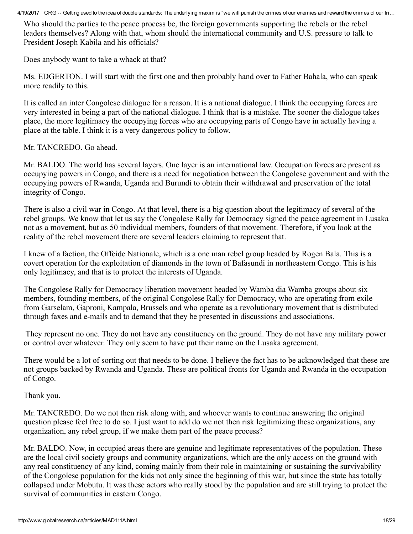Who should the parties to the peace process be, the foreign governments supporting the rebels or the rebel leaders themselves? Along with that, whom should the international community and U.S. pressure to talk to President Joseph Kabila and his officials?

Does anybody want to take a whack at that?

Ms. EDGERTON. I will start with the first one and then probably hand over to Father Bahala, who can speak more readily to this.

It is called an inter Congolese dialogue for a reason. It is a national dialogue. I think the occupying forces are very interested in being a part of the national dialogue. I think that is a mistake. The sooner the dialogue takes place, the more legitimacy the occupying forces who are occupying parts of Congo have in actually having a place at the table. I think it is a very dangerous policy to follow.

Mr. TANCREDO. Go ahead.

Mr. BALDO. The world has several layers. One layer is an international law. Occupation forces are present as occupying powers in Congo, and there is a need for negotiation between the Congolese government and with the occupying powers of Rwanda, Uganda and Burundi to obtain their withdrawal and preservation of the total integrity of Congo.

There is also a civil war in Congo. At that level, there is a big question about the legitimacy of several of the rebel groups. We know that let us say the Congolese Rally for Democracy signed the peace agreement in Lusaka not as a movement, but as 50 individual members, founders of that movement. Therefore, if you look at the reality of the rebel movement there are several leaders claiming to represent that.

I knew of a faction, the Offcide Nationale, which is a one man rebel group headed by Rogen Bala. This is a covert operation for the exploitation of diamonds in the town of Bafasundi in northeastern Congo. This is his only legitimacy, and that is to protect the interests of Uganda.

The Congolese Rally for Democracy liberation movement headed by Wamba dia Wamba groups about six members, founding members, of the original Congolese Rally for Democracy, who are operating from exile from Garselam, Gaproni, Kampala, Brussels and who operate as a revolutionary movement that is distributed through faxes and emails and to demand that they be presented in discussions and associations.

They represent no one. They do not have any constituency on the ground. They do not have any military power or control over whatever. They only seem to have put their name on the Lusaka agreement.

There would be a lot of sorting out that needs to be done. I believe the fact has to be acknowledged that these are not groups backed by Rwanda and Uganda. These are political fronts for Uganda and Rwanda in the occupation of Congo.

Thank you.

Mr. TANCREDO. Do we not then risk along with, and whoever wants to continue answering the original question please feel free to do so. I just want to add do we not then risk legitimizing these organizations, any organization, any rebel group, if we make them part of the peace process?

Mr. BALDO. Now, in occupied areas there are genuine and legitimate representatives of the population. These are the local civil society groups and community organizations, which are the only access on the ground with any real constituency of any kind, coming mainly from their role in maintaining or sustaining the survivability of the Congolese population for the kids not only since the beginning of this war, but since the state has totally collapsed under Mobutu. It was these actors who really stood by the population and are still trying to protect the survival of communities in eastern Congo.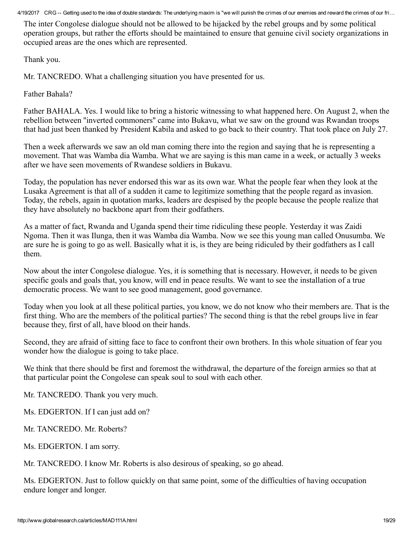The inter Congolese dialogue should not be allowed to be hijacked by the rebel groups and by some political operation groups, but rather the efforts should be maintained to ensure that genuine civil society organizations in occupied areas are the ones which are represented.

Thank you.

Mr. TANCREDO. What a challenging situation you have presented for us.

Father Bahala?

Father BAHALA. Yes. I would like to bring a historic witnessing to what happened here. On August 2, when the rebellion between ''inverted commoners'' came into Bukavu, what we saw on the ground was Rwandan troops that had just been thanked by President Kabila and asked to go back to their country. That took place on July 27.

Then a week afterwards we saw an old man coming there into the region and saying that he is representing a movement. That was Wamba dia Wamba. What we are saying is this man came in a week, or actually 3 weeks after we have seen movements of Rwandese soldiers in Bukavu.

Today, the population has never endorsed this war as its own war. What the people fear when they look at the Lusaka Agreement is that all of a sudden it came to legitimize something that the people regard as invasion. Today, the rebels, again in quotation marks, leaders are despised by the people because the people realize that they have absolutely no backbone apart from their godfathers.

As a matter of fact, Rwanda and Uganda spend their time ridiculing these people. Yesterday it was Zaidi Ngoma. Then it was Ilunga, then it was Wamba dia Wamba. Now we see this young man called Onusumba. We are sure he is going to go as well. Basically what it is, is they are being ridiculed by their godfathers as I call them.

Now about the inter Congolese dialogue. Yes, it is something that is necessary. However, it needs to be given specific goals and goals that, you know, will end in peace results. We want to see the installation of a true democratic process. We want to see good management, good governance.

Today when you look at all these political parties, you know, we do not know who their members are. That is the first thing. Who are the members of the political parties? The second thing is that the rebel groups live in fear because they, first of all, have blood on their hands.

Second, they are afraid of sitting face to face to confront their own brothers. In this whole situation of fear you wonder how the dialogue is going to take place.

We think that there should be first and foremost the withdrawal, the departure of the foreign armies so that at that particular point the Congolese can speak soul to soul with each other.

Mr. TANCREDO. Thank you very much.

Ms. EDGERTON. If I can just add on?

Mr. TANCREDO. Mr. Roberts?

Ms. EDGERTON. I am sorry.

Mr. TANCREDO. I know Mr. Roberts is also desirous of speaking, so go ahead.

Ms. EDGERTON. Just to follow quickly on that same point, some of the difficulties of having occupation endure longer and longer.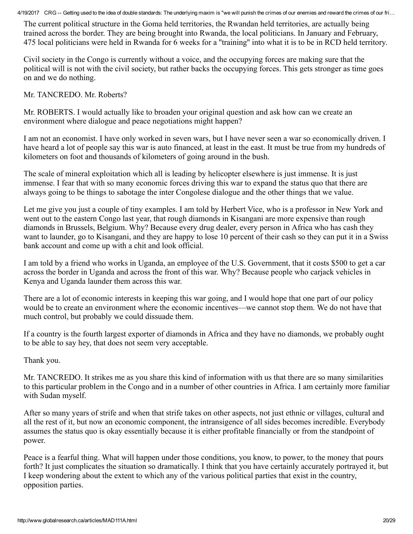The current political structure in the Goma held territories, the Rwandan held territories, are actually being trained across the border. They are being brought into Rwanda, the local politicians. In January and February, 475 local politicians were held in Rwanda for 6 weeks for a ''training'' into what it is to be in RCD held territory.

Civil society in the Congo is currently without a voice, and the occupying forces are making sure that the political will is not with the civil society, but rather backs the occupying forces. This gets stronger as time goes on and we do nothing.

Mr. TANCREDO. Mr. Roberts?

Mr. ROBERTS. I would actually like to broaden your original question and ask how can we create an environment where dialogue and peace negotiations might happen?

I am not an economist. I have only worked in seven wars, but I have never seen a war so economically driven. I have heard a lot of people say this war is auto financed, at least in the east. It must be true from my hundreds of kilometers on foot and thousands of kilometers of going around in the bush.

The scale of mineral exploitation which all is leading by helicopter elsewhere is just immense. It is just immense. I fear that with so many economic forces driving this war to expand the status quo that there are always going to be things to sabotage the inter Congolese dialogue and the other things that we value.

Let me give you just a couple of tiny examples. I am told by Herbert Vice, who is a professor in New York and went out to the eastern Congo last year, that rough diamonds in Kisangani are more expensive than rough diamonds in Brussels, Belgium. Why? Because every drug dealer, every person in Africa who has cash they want to launder, go to Kisangani, and they are happy to lose 10 percent of their cash so they can put it in a Swiss bank account and come up with a chit and look official.

I am told by a friend who works in Uganda, an employee of the U.S. Government, that it costs \$500 to get a car across the border in Uganda and across the front of this war. Why? Because people who carjack vehicles in Kenya and Uganda launder them across this war.

There are a lot of economic interests in keeping this war going, and I would hope that one part of our policy would be to create an environment where the economic incentives—we cannot stop them. We do not have that much control, but probably we could dissuade them.

If a country is the fourth largest exporter of diamonds in Africa and they have no diamonds, we probably ought to be able to say hey, that does not seem very acceptable.

Thank you.

Mr. TANCREDO. It strikes me as you share this kind of information with us that there are so many similarities to this particular problem in the Congo and in a number of other countries in Africa. I am certainly more familiar with Sudan myself.

After so many years of strife and when that strife takes on other aspects, not just ethnic or villages, cultural and all the rest of it, but now an economic component, the intransigence of all sides becomes incredible. Everybody assumes the status quo is okay essentially because it is either profitable financially or from the standpoint of power.

Peace is a fearful thing. What will happen under those conditions, you know, to power, to the money that pours forth? It just complicates the situation so dramatically. I think that you have certainly accurately portrayed it, but I keep wondering about the extent to which any of the various political parties that exist in the country, opposition parties.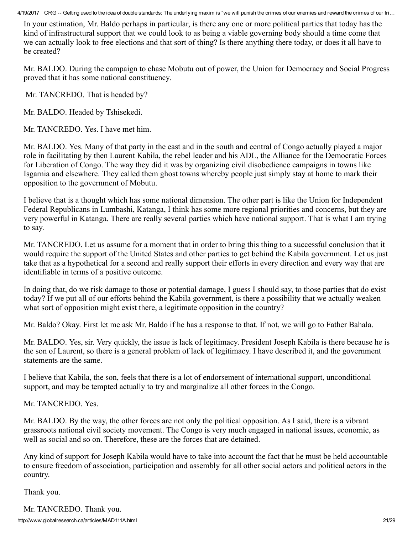In your estimation, Mr. Baldo perhaps in particular, is there any one or more political parties that today has the kind of infrastructural support that we could look to as being a viable governing body should a time come that we can actually look to free elections and that sort of thing? Is there anything there today, or does it all have to be created?

Mr. BALDO. During the campaign to chase Mobutu out of power, the Union for Democracy and Social Progress proved that it has some national constituency.

Mr. TANCREDO. That is headed by?

Mr. BALDO. Headed by Tshisekedi.

Mr. TANCREDO. Yes. I have met him.

Mr. BALDO. Yes. Many of that party in the east and in the south and central of Congo actually played a major role in facilitating by then Laurent Kabila, the rebel leader and his ADL, the Alliance for the Democratic Forces for Liberation of Congo. The way they did it was by organizing civil disobedience campaigns in towns like Isgarnia and elsewhere. They called them ghost towns whereby people just simply stay at home to mark their opposition to the government of Mobutu.

I believe that is a thought which has some national dimension. The other part is like the Union for Independent Federal Republicans in Lumbashi, Katanga, I think has some more regional priorities and concerns, but they are very powerful in Katanga. There are really several parties which have national support. That is what I am trying to say.

Mr. TANCREDO. Let us assume for a moment that in order to bring this thing to a successful conclusion that it would require the support of the United States and other parties to get behind the Kabila government. Let us just take that as a hypothetical for a second and really support their efforts in every direction and every way that are identifiable in terms of a positive outcome.

In doing that, do we risk damage to those or potential damage, I guess I should say, to those parties that do exist today? If we put all of our efforts behind the Kabila government, is there a possibility that we actually weaken what sort of opposition might exist there, a legitimate opposition in the country?

Mr. Baldo? Okay. First let me ask Mr. Baldo if he has a response to that. If not, we will go to Father Bahala.

Mr. BALDO. Yes, sir. Very quickly, the issue is lack of legitimacy. President Joseph Kabila is there because he is the son of Laurent, so there is a general problem of lack of legitimacy. I have described it, and the government statements are the same.

I believe that Kabila, the son, feels that there is a lot of endorsement of international support, unconditional support, and may be tempted actually to try and marginalize all other forces in the Congo.

Mr. TANCREDO. Yes.

Mr. BALDO. By the way, the other forces are not only the political opposition. As I said, there is a vibrant grassroots national civil society movement. The Congo is very much engaged in national issues, economic, as well as social and so on. Therefore, these are the forces that are detained.

Any kind of support for Joseph Kabila would have to take into account the fact that he must be held accountable to ensure freedom of association, participation and assembly for all other social actors and political actors in the country.

Thank you.

Mr. TANCREDO. Thank you.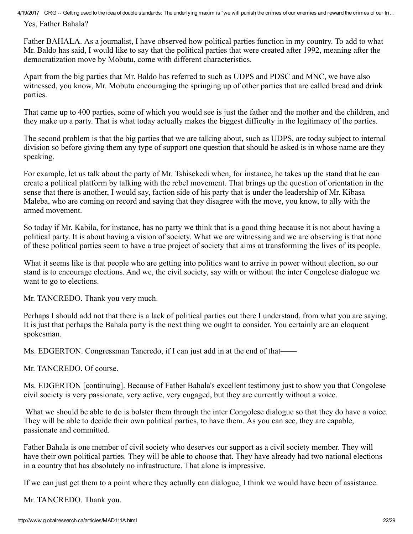Yes, Father Bahala?

Father BAHALA. As a journalist, I have observed how political parties function in my country. To add to what Mr. Baldo has said, I would like to say that the political parties that were created after 1992, meaning after the democratization move by Mobutu, come with different characteristics.

Apart from the big parties that Mr. Baldo has referred to such as UDPS and PDSC and MNC, we have also witnessed, you know, Mr. Mobutu encouraging the springing up of other parties that are called bread and drink parties.

That came up to 400 parties, some of which you would see is just the father and the mother and the children, and they make up a party. That is what today actually makes the biggest difficulty in the legitimacy of the parties.

The second problem is that the big parties that we are talking about, such as UDPS, are today subject to internal division so before giving them any type of support one question that should be asked is in whose name are they speaking.

For example, let us talk about the party of Mr. Tshisekedi when, for instance, he takes up the stand that he can create a political platform by talking with the rebel movement. That brings up the question of orientation in the sense that there is another, I would say, faction side of his party that is under the leadership of Mr. Kibasa Maleba, who are coming on record and saying that they disagree with the move, you know, to ally with the armed movement.

So today if Mr. Kabila, for instance, has no party we think that is a good thing because it is not about having a political party. It is about having a vision of society. What we are witnessing and we are observing is that none of these political parties seem to have a true project of society that aims at transforming the lives of its people.

What it seems like is that people who are getting into politics want to arrive in power without election, so our stand is to encourage elections. And we, the civil society, say with or without the inter Congolese dialogue we want to go to elections.

Mr. TANCREDO. Thank you very much.

Perhaps I should add not that there is a lack of political parties out there I understand, from what you are saying. It is just that perhaps the Bahala party is the next thing we ought to consider. You certainly are an eloquent spokesman.

Ms. EDGERTON. Congressman Tancredo, if I can just add in at the end of that——

Mr. TANCREDO. Of course.

Ms. EDGERTON [continuing]. Because of Father Bahala's excellent testimony just to show you that Congolese civil society is very passionate, very active, very engaged, but they are currently without a voice.

What we should be able to do is bolster them through the inter Congolese dialogue so that they do have a voice. They will be able to decide their own political parties, to have them. As you can see, they are capable, passionate and committed.

Father Bahala is one member of civil society who deserves our support as a civil society member. They will have their own political parties. They will be able to choose that. They have already had two national elections in a country that has absolutely no infrastructure. That alone is impressive.

If we can just get them to a point where they actually can dialogue, I think we would have been of assistance.

Mr. TANCREDO. Thank you.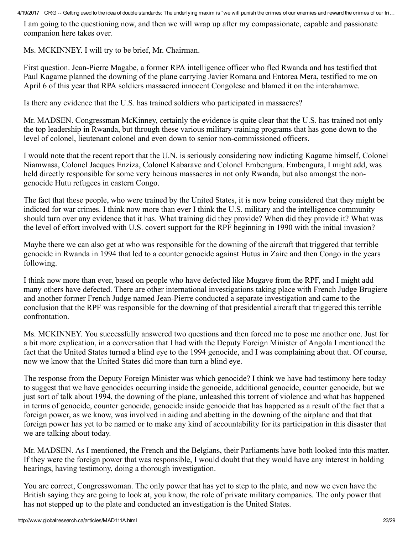I am going to the questioning now, and then we will wrap up after my compassionate, capable and passionate companion here takes over.

Ms. MCKINNEY. I will try to be brief, Mr. Chairman.

First question. Jean-Pierre Magabe, a former RPA intelligence officer who fled Rwanda and has testified that Paul Kagame planned the downing of the plane carrying Javier Romana and Entorea Mera, testified to me on April 6 of this year that RPA soldiers massacred innocent Congolese and blamed it on the interahamwe.

Is there any evidence that the U.S. has trained soldiers who participated in massacres?

Mr. MADSEN. Congressman McKinney, certainly the evidence is quite clear that the U.S. has trained not only the top leadership in Rwanda, but through these various military training programs that has gone down to the level of colonel, lieutenant colonel and even down to senior non-commissioned officers.

I would note that the recent report that the U.N. is seriously considering now indicting Kagame himself, Colonel Niamwasa, Colonel Jacques Enziza, Colonel Kabarave and Colonel Embengura. Embengura, I might add, was held directly responsible for some very heinous massacres in not only Rwanda, but also amongst the nongenocide Hutu refugees in eastern Congo.

The fact that these people, who were trained by the United States, it is now being considered that they might be indicted for war crimes. I think now more than ever I think the U.S. military and the intelligence community should turn over any evidence that it has. What training did they provide? When did they provide it? What was the level of effort involved with U.S. covert support for the RPF beginning in 1990 with the initial invasion?

Maybe there we can also get at who was responsible for the downing of the aircraft that triggered that terrible genocide in Rwanda in 1994 that led to a counter genocide against Hutus in Zaire and then Congo in the years following.

I think now more than ever, based on people who have defected like Mugave from the RPF, and I might add many others have defected. There are other international investigations taking place with French Judge Brugiere and another former French Judge named Jean-Pierre conducted a separate investigation and came to the conclusion that the RPF was responsible for the downing of that presidential aircraft that triggered this terrible confrontation.

Ms. MCKINNEY. You successfully answered two questions and then forced me to pose me another one. Just for a bit more explication, in a conversation that I had with the Deputy Foreign Minister of Angola I mentioned the fact that the United States turned a blind eye to the 1994 genocide, and I was complaining about that. Of course, now we know that the United States did more than turn a blind eye.

The response from the Deputy Foreign Minister was which genocide? I think we have had testimony here today to suggest that we have genocides occurring inside the genocide, additional genocide, counter genocide, but we just sort of talk about 1994, the downing of the plane, unleashed this torrent of violence and what has happened in terms of genocide, counter genocide, genocide inside genocide that has happened as a result of the fact that a foreign power, as we know, was involved in aiding and abetting in the downing of the airplane and that that foreign power has yet to be named or to make any kind of accountability for its participation in this disaster that we are talking about today.

Mr. MADSEN. As I mentioned, the French and the Belgians, their Parliaments have both looked into this matter. If they were the foreign power that was responsible, I would doubt that they would have any interest in holding hearings, having testimony, doing a thorough investigation.

You are correct, Congresswoman. The only power that has yet to step to the plate, and now we even have the British saying they are going to look at, you know, the role of private military companies. The only power that has not stepped up to the plate and conducted an investigation is the United States.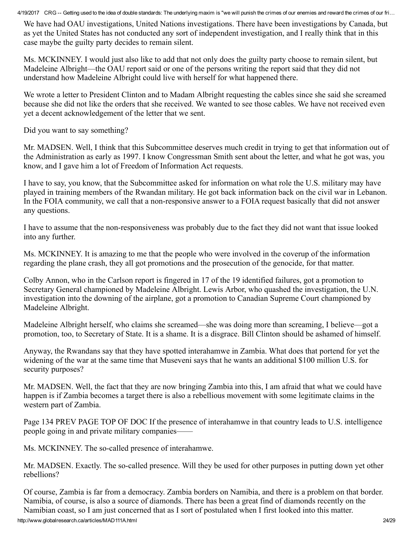We have had OAU investigations, United Nations investigations. There have been investigations by Canada, but as yet the United States has not conducted any sort of independent investigation, and I really think that in this case maybe the guilty party decides to remain silent.

Ms. MCKINNEY. I would just also like to add that not only does the guilty party choose to remain silent, but Madeleine Albright—the OAU report said or one of the persons writing the report said that they did not understand how Madeleine Albright could live with herself for what happened there.

We wrote a letter to President Clinton and to Madam Albright requesting the cables since she said she screamed because she did not like the orders that she received. We wanted to see those cables. We have not received even yet a decent acknowledgement of the letter that we sent.

Did you want to say something?

Mr. MADSEN. Well, I think that this Subcommittee deserves much credit in trying to get that information out of the Administration as early as 1997. I know Congressman Smith sent about the letter, and what he got was, you know, and I gave him a lot of Freedom of Information Act requests.

I have to say, you know, that the Subcommittee asked for information on what role the U.S. military may have played in training members of the Rwandan military. He got back information back on the civil war in Lebanon. In the FOIA community, we call that a non-responsive answer to a FOIA request basically that did not answer any questions.

I have to assume that the non-responsiveness was probably due to the fact they did not want that issue looked into any further.

Ms. MCKINNEY. It is amazing to me that the people who were involved in the coverup of the information regarding the plane crash, they all got promotions and the prosecution of the genocide, for that matter.

Colby Annon, who in the Carlson report is fingered in 17 of the 19 identified failures, got a promotion to Secretary General championed by Madeleine Albright. Lewis Arbor, who quashed the investigation, the U.N. investigation into the downing of the airplane, got a promotion to Canadian Supreme Court championed by Madeleine Albright.

Madeleine Albright herself, who claims she screamed—she was doing more than screaming, I believe—got a promotion, too, to Secretary of State. It is a shame. It is a disgrace. Bill Clinton should be ashamed of himself.

Anyway, the Rwandans say that they have spotted interahamwe in Zambia. What does that portend for yet the widening of the war at the same time that Museveni says that he wants an additional \$100 million U.S. for security purposes?

Mr. MADSEN. Well, the fact that they are now bringing Zambia into this, I am afraid that what we could have happen is if Zambia becomes a target there is also a rebellious movement with some legitimate claims in the western part of Zambia.

Page 134 PREV PAGE TOP OF DOC If the presence of interahamwe in that country leads to U.S. intelligence people going in and private military companies——

Ms. MCKINNEY. The so-called presence of interahamwe.

Mr. MADSEN. Exactly. The so-called presence. Will they be used for other purposes in putting down yet other rebellions?

http://www.globalresearch.ca/articles/MAD111A.html 24/29 Of course, Zambia is far from a democracy. Zambia borders on Namibia, and there is a problem on that border. Namibia, of course, is also a source of diamonds. There has been a great find of diamonds recently on the Namibian coast, so I am just concerned that as I sort of postulated when I first looked into this matter.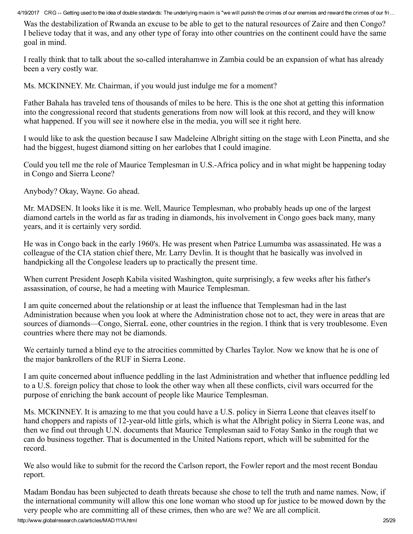Was the destabilization of Rwanda an excuse to be able to get to the natural resources of Zaire and then Congo? I believe today that it was, and any other type of foray into other countries on the continent could have the same goal in mind.

I really think that to talk about the so-called interahamwe in Zambia could be an expansion of what has already been a very costly war.

Ms. MCKINNEY. Mr. Chairman, if you would just indulge me for a moment?

Father Bahala has traveled tens of thousands of miles to be here. This is the one shot at getting this information into the congressional record that students generations from now will look at this record, and they will know what happened. If you will see it nowhere else in the media, you will see it right here.

I would like to ask the question because I saw Madeleine Albright sitting on the stage with Leon Pinetta, and she had the biggest, hugest diamond sitting on her earlobes that I could imagine.

Could you tell me the role of Maurice Templesman in U.S.-Africa policy and in what might be happening today in Congo and Sierra Leone?

Anybody? Okay, Wayne. Go ahead.

Mr. MADSEN. It looks like it is me. Well, Maurice Templesman, who probably heads up one of the largest diamond cartels in the world as far as trading in diamonds, his involvement in Congo goes back many, many years, and it is certainly very sordid.

He was in Congo back in the early 1960's. He was present when Patrice Lumumba was assassinated. He was a colleague of the CIA station chief there, Mr. Larry Devlin. It is thought that he basically was involved in handpicking all the Congolese leaders up to practically the present time.

When current President Joseph Kabila visited Washington, quite surprisingly, a few weeks after his father's assassination, of course, he had a meeting with Maurice Templesman.

I am quite concerned about the relationship or at least the influence that Templesman had in the last Administration because when you look at where the Administration chose not to act, they were in areas that are sources of diamonds—Congo, SierraL eone, other countries in the region. I think that is very troublesome. Even countries where there may not be diamonds.

We certainly turned a blind eye to the atrocities committed by Charles Taylor. Now we know that he is one of the major bankrollers of the RUF in Sierra Leone.

I am quite concerned about influence peddling in the last Administration and whether that influence peddling led to a U.S. foreign policy that chose to look the other way when all these conflicts, civil wars occurred for the purpose of enriching the bank account of people like Maurice Templesman.

Ms. MCKINNEY. It is amazing to me that you could have a U.S. policy in Sierra Leone that cleaves itself to hand choppers and rapists of 12-year-old little girls, which is what the Albright policy in Sierra Leone was, and then we find out through U.N. documents that Maurice Templesman said to Fotay Sanko in the rough that we can do business together. That is documented in the United Nations report, which will be submitted for the record.

We also would like to submit for the record the Carlson report, the Fowler report and the most recent Bondau report.

Madam Bondau has been subjected to death threats because she chose to tell the truth and name names. Now, if the international community will allow this one lone woman who stood up for justice to be mowed down by the very people who are committing all of these crimes, then who are we? We are all complicit.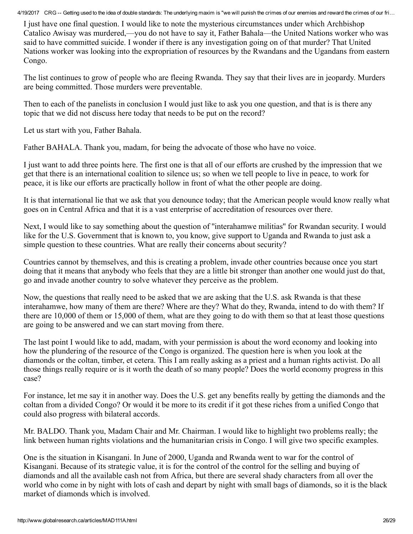I just have one final question. I would like to note the mysterious circumstances under which Archbishop Catalico Awisay was murdered,—you do not have to say it, Father Bahala—the United Nations worker who was said to have committed suicide. I wonder if there is any investigation going on of that murder? That United Nations worker was looking into the expropriation of resources by the Rwandans and the Ugandans from eastern Congo.

The list continues to grow of people who are fleeing Rwanda. They say that their lives are in jeopardy. Murders are being committed. Those murders were preventable.

Then to each of the panelists in conclusion I would just like to ask you one question, and that is is there any topic that we did not discuss here today that needs to be put on the record?

Let us start with you, Father Bahala.

Father BAHALA. Thank you, madam, for being the advocate of those who have no voice.

I just want to add three points here. The first one is that all of our efforts are crushed by the impression that we get that there is an international coalition to silence us; so when we tell people to live in peace, to work for peace, it is like our efforts are practically hollow in front of what the other people are doing.

It is that international lie that we ask that you denounce today; that the American people would know really what goes on in Central Africa and that it is a vast enterprise of accreditation of resources over there.

Next, I would like to say something about the question of ''interahamwe militias'' for Rwandan security. I would like for the U.S. Government that is known to, you know, give support to Uganda and Rwanda to just ask a simple question to these countries. What are really their concerns about security?

Countries cannot by themselves, and this is creating a problem, invade other countries because once you start doing that it means that anybody who feels that they are a little bit stronger than another one would just do that, go and invade another country to solve whatever they perceive as the problem.

Now, the questions that really need to be asked that we are asking that the U.S. ask Rwanda is that these interahamwe, how many of them are there? Where are they? What do they, Rwanda, intend to do with them? If there are 10,000 of them or 15,000 of them, what are they going to do with them so that at least those questions are going to be answered and we can start moving from there.

The last point I would like to add, madam, with your permission is about the word economy and looking into how the plundering of the resource of the Congo is organized. The question here is when you look at the diamonds or the coltan, timber, et cetera. This I am really asking as a priest and a human rights activist. Do all those things really require or is it worth the death of so many people? Does the world economy progress in this case?

For instance, let me say it in another way. Does the U.S. get any benefits really by getting the diamonds and the coltan from a divided Congo? Or would it be more to its credit if it got these riches from a unified Congo that could also progress with bilateral accords.

Mr. BALDO. Thank you, Madam Chair and Mr. Chairman. I would like to highlight two problems really; the link between human rights violations and the humanitarian crisis in Congo. I will give two specific examples.

One is the situation in Kisangani. In June of 2000, Uganda and Rwanda went to war for the control of Kisangani. Because of its strategic value, it is for the control of the control for the selling and buying of diamonds and all the available cash not from Africa, but there are several shady characters from all over the world who come in by night with lots of cash and depart by night with small bags of diamonds, so it is the black market of diamonds which is involved.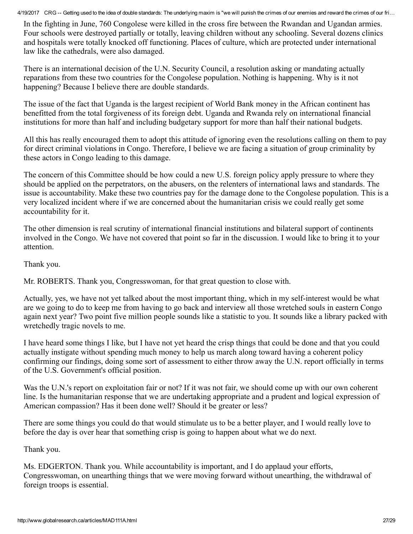In the fighting in June, 760 Congolese were killed in the cross fire between the Rwandan and Ugandan armies. Four schools were destroyed partially or totally, leaving children without any schooling. Several dozens clinics and hospitals were totally knocked off functioning. Places of culture, which are protected under international law like the cathedrals, were also damaged.

There is an international decision of the U.N. Security Council, a resolution asking or mandating actually reparations from these two countries for the Congolese population. Nothing is happening. Why is it not happening? Because I believe there are double standards.

The issue of the fact that Uganda is the largest recipient of World Bank money in the African continent has benefitted from the total forgiveness of its foreign debt. Uganda and Rwanda rely on international financial institutions for more than half and including budgetary support for more than half their national budgets.

All this has really encouraged them to adopt this attitude of ignoring even the resolutions calling on them to pay for direct criminal violations in Congo. Therefore, I believe we are facing a situation of group criminality by these actors in Congo leading to this damage.

The concern of this Committee should be how could a new U.S. foreign policy apply pressure to where they should be applied on the perpetrators, on the abusers, on the relenters of international laws and standards. The issue is accountability. Make these two countries pay for the damage done to the Congolese population. This is a very localized incident where if we are concerned about the humanitarian crisis we could really get some accountability for it.

The other dimension is real scrutiny of international financial institutions and bilateral support of continents involved in the Congo. We have not covered that point so far in the discussion. I would like to bring it to your attention.

Thank you.

Mr. ROBERTS. Thank you, Congresswoman, for that great question to close with.

Actually, yes, we have not yet talked about the most important thing, which in my self-interest would be what are we going to do to keep me from having to go back and interview all those wretched souls in eastern Congo again next year? Two point five million people sounds like a statistic to you. It sounds like a library packed with wretchedly tragic novels to me.

I have heard some things I like, but I have not yet heard the crisp things that could be done and that you could actually instigate without spending much money to help us march along toward having a coherent policy confirming our findings, doing some sort of assessment to either throw away the U.N. report officially in terms of the U.S. Government's official position.

Was the U.N.'s report on exploitation fair or not? If it was not fair, we should come up with our own coherent line. Is the humanitarian response that we are undertaking appropriate and a prudent and logical expression of American compassion? Has it been done well? Should it be greater or less?

There are some things you could do that would stimulate us to be a better player, and I would really love to before the day is over hear that something crisp is going to happen about what we do next.

Thank you.

Ms. EDGERTON. Thank you. While accountability is important, and I do applaud your efforts, Congresswoman, on unearthing things that we were moving forward without unearthing, the withdrawal of foreign troops is essential.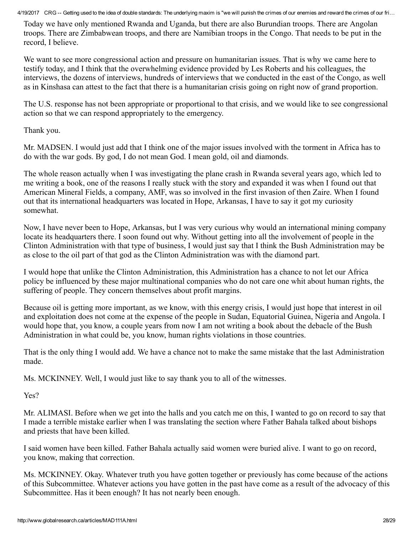Today we have only mentioned Rwanda and Uganda, but there are also Burundian troops. There are Angolan troops. There are Zimbabwean troops, and there are Namibian troops in the Congo. That needs to be put in the record, I believe.

We want to see more congressional action and pressure on humanitarian issues. That is why we came here to testify today, and I think that the overwhelming evidence provided by Les Roberts and his colleagues, the interviews, the dozens of interviews, hundreds of interviews that we conducted in the east of the Congo, as well as in Kinshasa can attest to the fact that there is a humanitarian crisis going on right now of grand proportion.

The U.S. response has not been appropriate or proportional to that crisis, and we would like to see congressional action so that we can respond appropriately to the emergency.

Thank you.

Mr. MADSEN. I would just add that I think one of the major issues involved with the torment in Africa has to do with the war gods. By god, I do not mean God. I mean gold, oil and diamonds.

The whole reason actually when I was investigating the plane crash in Rwanda several years ago, which led to me writing a book, one of the reasons I really stuck with the story and expanded it was when I found out that American Mineral Fields, a company, AMF, was so involved in the first invasion of then Zaire. When I found out that its international headquarters was located in Hope, Arkansas, I have to say it got my curiosity somewhat.

Now, I have never been to Hope, Arkansas, but I was very curious why would an international mining company locate its headquarters there. I soon found out why. Without getting into all the involvement of people in the Clinton Administration with that type of business, I would just say that I think the Bush Administration may be as close to the oil part of that god as the Clinton Administration was with the diamond part.

I would hope that unlike the Clinton Administration, this Administration has a chance to not let our Africa policy be influenced by these major multinational companies who do not care one whit about human rights, the suffering of people. They concern themselves about profit margins.

Because oil is getting more important, as we know, with this energy crisis, I would just hope that interest in oil and exploitation does not come at the expense of the people in Sudan, Equatorial Guinea, Nigeria and Angola. I would hope that, you know, a couple years from now I am not writing a book about the debacle of the Bush Administration in what could be, you know, human rights violations in those countries.

That is the only thing I would add. We have a chance not to make the same mistake that the last Administration made.

Ms. MCKINNEY. Well, I would just like to say thank you to all of the witnesses.

Yes?

Mr. ALIMASI. Before when we get into the halls and you catch me on this, I wanted to go on record to say that I made a terrible mistake earlier when I was translating the section where Father Bahala talked about bishops and priests that have been killed.

I said women have been killed. Father Bahala actually said women were buried alive. I want to go on record, you know, making that correction.

Ms. MCKINNEY. Okay. Whatever truth you have gotten together or previously has come because of the actions of this Subcommittee. Whatever actions you have gotten in the past have come as a result of the advocacy of this Subcommittee. Has it been enough? It has not nearly been enough.